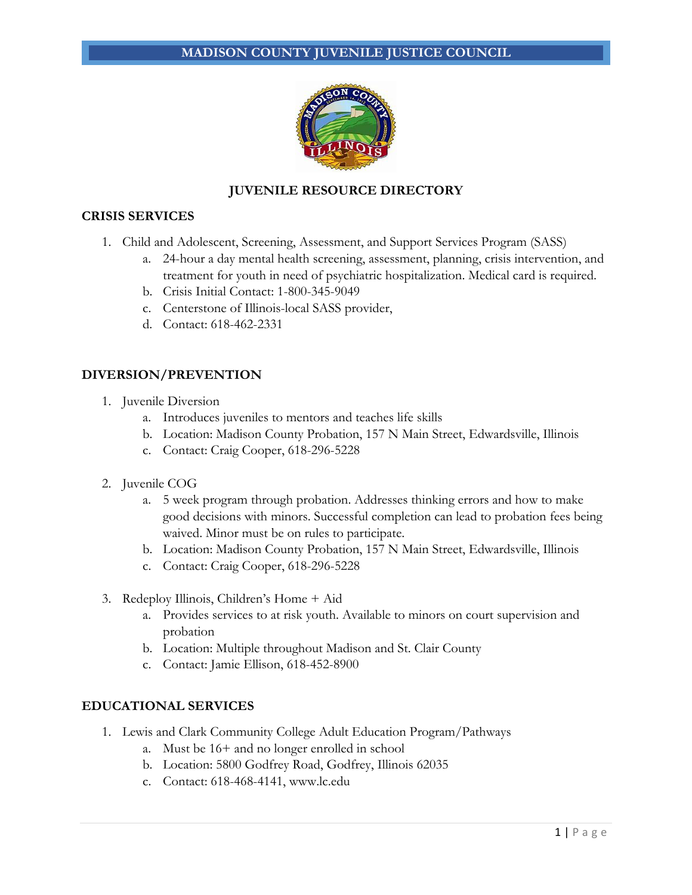## **MADISON COUNTY JUVENILE JUSTICE COUNCIL**



## **JUVENILE RESOURCE DIRECTORY**

#### **CRISIS SERVICES**

- 1. Child and Adolescent, Screening, Assessment, and Support Services Program (SASS)
	- a. 24-hour a day mental health screening, assessment, planning, crisis intervention, and treatment for youth in need of psychiatric hospitalization. Medical card is required.
	- b. Crisis Initial Contact: 1-800-345-9049
	- c. Centerstone of Illinois-local SASS provider,
	- d. Contact: 618-462-2331

#### **DIVERSION/PREVENTION**

- 1. Juvenile Diversion
	- a. Introduces juveniles to mentors and teaches life skills
	- b. Location: Madison County Probation, 157 N Main Street, Edwardsville, Illinois
	- c. Contact: Craig Cooper, 618-296-5228
- 2. Juvenile COG
	- a. 5 week program through probation. Addresses thinking errors and how to make good decisions with minors. Successful completion can lead to probation fees being waived. Minor must be on rules to participate.
	- b. Location: Madison County Probation, 157 N Main Street, Edwardsville, Illinois
	- c. Contact: Craig Cooper, 618-296-5228
- 3. Redeploy Illinois, Children's Home + Aid
	- a. Provides services to at risk youth. Available to minors on court supervision and probation
	- b. Location: Multiple throughout Madison and St. Clair County
	- c. Contact: Jamie Ellison, 618-452-8900

#### **EDUCATIONAL SERVICES**

- 1. Lewis and Clark Community College Adult Education Program/Pathways
	- a. Must be 16+ and no longer enrolled in school
	- b. Location: 5800 Godfrey Road, Godfrey, Illinois 62035
	- c. Contact: 618-468-4141, www.lc.edu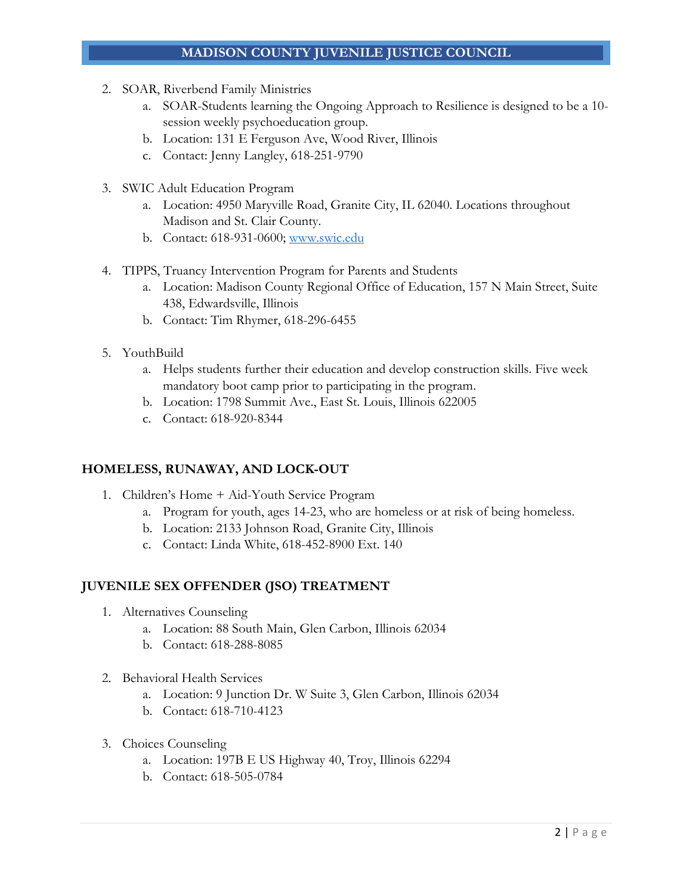# **MADISON COUNTY JUVENILE JUSTICE COUNCIL**

- 2. SOAR, Riverbend Family Ministries
	- a. SOAR-Students learning the Ongoing Approach to Resilience is designed to be a 10 session weekly psychoeducation group.
	- b. Location: 131 E Ferguson Ave, Wood River, Illinois
	- c. Contact: Jenny Langley, 618-251-9790
- 3. SWIC Adult Education Program
	- a. Location: 4950 Maryville Road, Granite City, IL 62040. Locations throughout Madison and St. Clair County.
	- b. Contact: 618-931-0600; www.swic.edu
- 4. TIPPS, Truancy Intervention Program for Parents and Students
	- a. Location: Madison County Regional Office of Education, 157 N Main Street, Suite 438, Edwardsville, Illinois
	- b. Contact: Tim Rhymer, 618-296-6455
- 5. YouthBuild
	- a. Helps students further their education and develop construction skills. Five week mandatory boot camp prior to participating in the program.
	- b. Location: 1798 Summit Ave., East St. Louis, Illinois 622005
	- c. Contact: 618-920-8344

# **HOMELESS, RUNAWAY, AND LOCK-OUT**

- 1. Children's Home + Aid-Youth Service Program
	- a. Program for youth, ages 14-23, who are homeless or at risk of being homeless.
	- b. Location: 2133 Johnson Road, Granite City, Illinois
	- c. Contact: Linda White, 618-452-8900 Ext. 140

# **JUVENILE SEX OFFENDER (JSO) TREATMENT**

- 1. Alternatives Counseling
	- a. Location: 88 South Main, Glen Carbon, Illinois 62034
	- b. Contact: 618-288-8085
- 2. Behavioral Health Services
	- a. Location: 9 Junction Dr. W Suite 3, Glen Carbon, Illinois 62034
	- b. Contact: 618-710-4123
- 3. Choices Counseling
	- a. Location: 197B E US Highway 40, Troy, Illinois 62294
	- b. Contact: 618-505-0784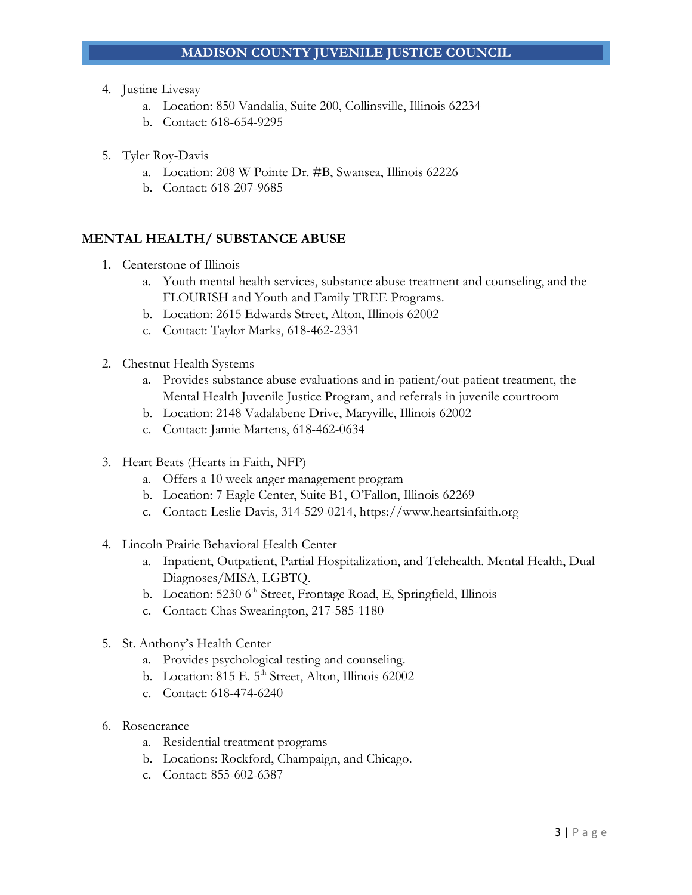- 4. Justine Livesay
	- a. Location: 850 Vandalia, Suite 200, Collinsville, Illinois 62234
	- b. Contact: 618-654-9295
- 5. Tyler Roy-Davis
	- a. Location: 208 W Pointe Dr. #B, Swansea, Illinois 62226
	- b. Contact: 618-207-9685

# **MENTAL HEALTH/ SUBSTANCE ABUSE**

- 1. Centerstone of Illinois
	- a. Youth mental health services, substance abuse treatment and counseling, and the FLOURISH and Youth and Family TREE Programs.
	- b. Location: 2615 Edwards Street, Alton, Illinois 62002
	- c. Contact: Taylor Marks, 618-462-2331
- 2. Chestnut Health Systems
	- a. Provides substance abuse evaluations and in-patient/out-patient treatment, the Mental Health Juvenile Justice Program, and referrals in juvenile courtroom
	- b. Location: 2148 Vadalabene Drive, Maryville, Illinois 62002
	- c. Contact: Jamie Martens, 618-462-0634
- 3. Heart Beats (Hearts in Faith, NFP)
	- a. Offers a 10 week anger management program
	- b. Location: 7 Eagle Center, Suite B1, O'Fallon, Illinois 62269
	- c. Contact: Leslie Davis, 314-529-0214, https://www.heartsinfaith.org
- 4. Lincoln Prairie Behavioral Health Center
	- a. Inpatient, Outpatient, Partial Hospitalization, and Telehealth. Mental Health, Dual Diagnoses/MISA, LGBTQ.
	- b. Location: 5230 6<sup>th</sup> Street, Frontage Road, E, Springfield, Illinois
	- c. Contact: Chas Swearington, 217-585-1180
- 5. St. Anthony's Health Center
	- a. Provides psychological testing and counseling.
	- b. Location:  $815$  E.  $5<sup>th</sup>$  Street, Alton, Illinois 62002
	- c. Contact: 618-474-6240
- 6. Rosencrance
	- a. Residential treatment programs
	- b. Locations: Rockford, Champaign, and Chicago.
	- c. Contact: 855-602-6387